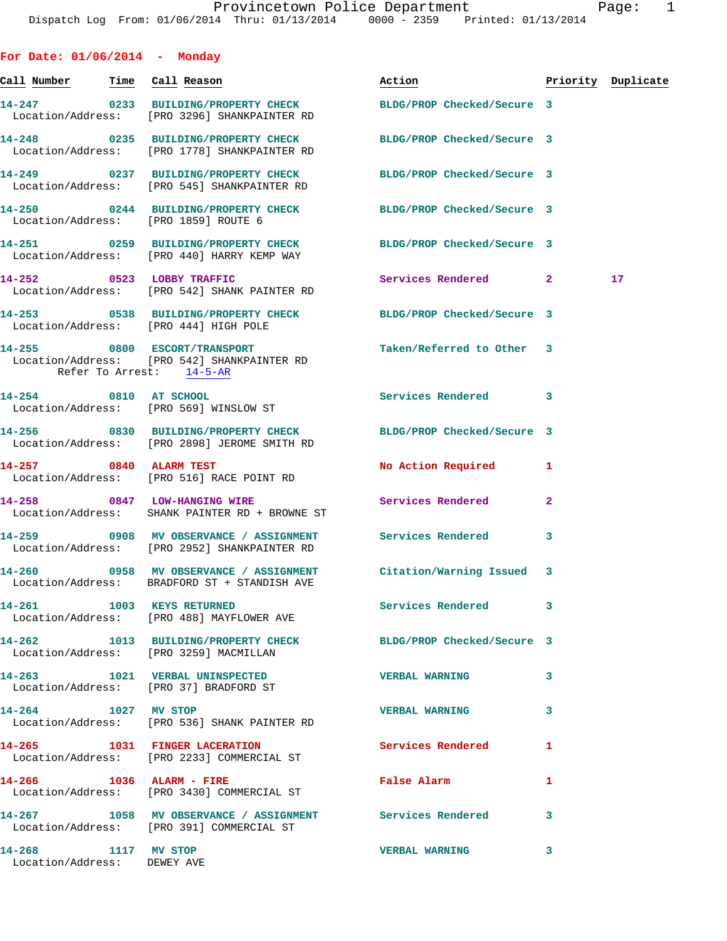| For Date: $01/06/2014$ - Monday                    |                                                                                                                  |                            |                |                    |
|----------------------------------------------------|------------------------------------------------------------------------------------------------------------------|----------------------------|----------------|--------------------|
| <u>Call Number — Time Call Reason</u>              |                                                                                                                  | Action                     |                | Priority Duplicate |
|                                                    | 14-247 0233 BUILDING/PROPERTY CHECK<br>Location/Address: [PRO 3296] SHANKPAINTER RD                              | BLDG/PROP Checked/Secure 3 |                |                    |
|                                                    | 14-248 0235 BUILDING/PROPERTY CHECK<br>Location/Address: [PRO 1778] SHANKPAINTER RD                              | BLDG/PROP Checked/Secure 3 |                |                    |
|                                                    | 14-249 0237 BUILDING/PROPERTY CHECK<br>Location/Address: [PRO 545] SHANKPAINTER RD                               | BLDG/PROP Checked/Secure 3 |                |                    |
| Location/Address: [PRO 1859] ROUTE 6               | 14-250 0244 BUILDING/PROPERTY CHECK BLDG/PROP Checked/Secure 3                                                   |                            |                |                    |
|                                                    | 14-251 0259 BUILDING/PROPERTY CHECK BLDG/PROP Checked/Secure 3<br>Location/Address: [PRO 440] HARRY KEMP WAY     |                            |                |                    |
|                                                    | 14-252 0523 LOBBY TRAFFIC<br>Location/Address: [PRO 542] SHANK PAINTER RD                                        | Services Rendered 2        |                | 17                 |
| Location/Address: [PRO 444] HIGH POLE              | 14-253 0538 BUILDING/PROPERTY CHECK BLDG/PROP Checked/Secure 3                                                   |                            |                |                    |
| Refer To Arrest: 14-5-AR                           | 14-255 0800 ESCORT/TRANSPORT<br>Location/Address: [PRO 542] SHANKPAINTER RD                                      | Taken/Referred to Other 3  |                |                    |
| 14-254 0810 AT SCHOOL                              | Location/Address: [PRO 569] WINSLOW ST                                                                           | <b>Services Rendered</b>   | 3              |                    |
|                                                    | 14-256 0830 BUILDING/PROPERTY CHECK BLDG/PROP Checked/Secure 3<br>Location/Address: [PRO 2898] JEROME SMITH RD   |                            |                |                    |
| 14-257 0840 ALARM TEST                             | Location/Address: [PRO 516] RACE POINT RD                                                                        | No Action Required         | 1              |                    |
|                                                    | 14-258 0847 LOW-HANGING WIRE<br>Location/Address: SHANK PAINTER RD + BROWNE ST                                   | Services Rendered          | $\overline{a}$ |                    |
|                                                    | 14-259 0908 MV OBSERVANCE / ASSIGNMENT Services Rendered<br>Location/Address: [PRO 2952] SHANKPAINTER RD         |                            | 3              |                    |
|                                                    | 14-260 0958 MV OBSERVANCE / ASSIGNMENT Citation/Warning Issued 3<br>Location/Address: BRADFORD ST + STANDISH AVE |                            |                |                    |
| 14-261 1003 KEYS RETURNED                          | Location/Address: [PRO 488] MAYFLOWER AVE                                                                        | Services Rendered          | 3              |                    |
| Location/Address: [PRO 3259] MACMILLAN             | 14-262 1013 BUILDING/PROPERTY CHECK BLDG/PROP Checked/Secure 3                                                   |                            |                |                    |
|                                                    | 14-263 1021 VERBAL UNINSPECTED<br>Location/Address: [PRO 37] BRADFORD ST                                         | <b>VERBAL WARNING</b>      | 3              |                    |
| 14-264 1027 MV STOP                                | Location/Address: [PRO 536] SHANK PAINTER RD                                                                     | <b>VERBAL WARNING</b>      | 3              |                    |
| 14-265 1031 FINGER LACERATION                      | Location/Address: [PRO 2233] COMMERCIAL ST                                                                       | Services Rendered          | 1              |                    |
|                                                    | 14-266 1036 ALARM - FIRE<br>Location/Address: [PRO 3430] COMMERCIAL ST                                           | False Alarm                | 1              |                    |
|                                                    | 14-267 1058 MV OBSERVANCE / ASSIGNMENT Services Rendered<br>Location/Address: [PRO 391] COMMERCIAL ST            |                            | 3              |                    |
| 14-268 1117 MV STOP<br>Location/Address: DEWEY AVE |                                                                                                                  | <b>VERBAL WARNING</b>      | 3              |                    |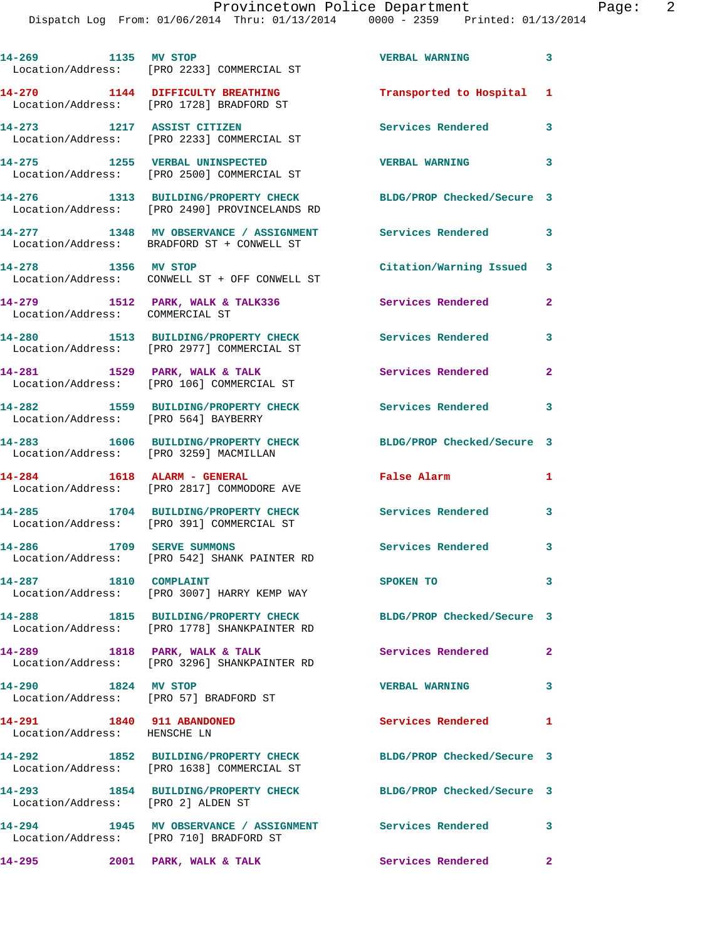| 14-269 1135 MV STOP                                       | Location/Address: [PRO 2233] COMMERCIAL ST                                                          | <b>VERBAL WARNING</b>      | 3              |
|-----------------------------------------------------------|-----------------------------------------------------------------------------------------------------|----------------------------|----------------|
|                                                           | 14-270 1144 DIFFICULTY BREATHING<br>Location/Address: [PRO 1728] BRADFORD ST                        | Transported to Hospital    | 1              |
|                                                           | 14-273 1217 ASSIST CITIZEN<br>Location/Address: [PRO 2233] COMMERCIAL ST                            | Services Rendered          | 3              |
| 14-275 1255 VERBAL UNINSPECTED                            | Location/Address: [PRO 2500] COMMERCIAL ST                                                          | <b>VERBAL WARNING</b>      | 3              |
|                                                           | 14-276 1313 BUILDING/PROPERTY CHECK<br>Location/Address: [PRO 2490] PROVINCELANDS RD                | BLDG/PROP Checked/Secure 3 |                |
|                                                           | 14-277 1348 MV OBSERVANCE / ASSIGNMENT<br>Location/Address: BRADFORD ST + CONWELL ST                | <b>Services Rendered</b>   | 3              |
| 14-278 1356 MV STOP                                       | Location/Address: CONWELL ST + OFF CONWELL ST                                                       | Citation/Warning Issued 3  |                |
| Location/Address: COMMERCIAL ST                           | 14-279 1512 PARK, WALK & TALK336                                                                    | <b>Services Rendered</b>   | 2              |
|                                                           | 14-280 1513 BUILDING/PROPERTY CHECK<br>Location/Address: [PRO 2977] COMMERCIAL ST                   | <b>Services Rendered</b>   | $\mathbf{3}$   |
|                                                           | 14-281 1529 PARK, WALK & TALK<br>Location/Address: [PRO 106] COMMERCIAL ST                          | Services Rendered          | $\overline{a}$ |
| 14-282<br>Location/Address: [PRO 564] BAYBERRY            | 1559 BUILDING/PROPERTY CHECK                                                                        | Services Rendered 3        |                |
| Location/Address: [PRO 3259] MACMILLAN                    | 14-283 1606 BUILDING/PROPERTY CHECK                                                                 | BLDG/PROP Checked/Secure 3 |                |
| 14-284 1618 ALARM - GENERAL                               | Location/Address: [PRO 2817] COMMODORE AVE                                                          | False Alarm                | 1              |
|                                                           | 14-285 1704 BUILDING/PROPERTY CHECK<br>Location/Address: [PRO 391] COMMERCIAL ST                    | <b>Services Rendered</b>   | 3              |
| 14-286 1709 SERVE SUMMONS                                 | Location/Address: [PRO 542] SHANK PAINTER RD                                                        | Services Rendered          | 3              |
| 14-287 1810 COMPLAINT                                     | Location/Address: [PRO 3007] HARRY KEMP WAY                                                         | SPOKEN TO                  | 3              |
|                                                           | 14-288 1815 BUILDING/PROPERTY CHECK<br>Location/Address: [PRO 1778] SHANKPAINTER RD                 | BLDG/PROP Checked/Secure 3 |                |
|                                                           | 14-289 1818 PARK, WALK & TALK<br>Location/Address: [PRO 3296] SHANKPAINTER RD                       | <b>Services Rendered</b>   | $\mathbf{2}$   |
| 14-290 1824 MV STOP                                       | Location/Address: [PRO 57] BRADFORD ST                                                              | <b>VERBAL WARNING</b>      | 3              |
| 14-291 1840 911 ABANDONED<br>Location/Address: HENSCHE LN |                                                                                                     | Services Rendered          | 1              |
|                                                           | 14-292 1852 BUILDING/PROPERTY CHECK<br>Location/Address: [PRO 1638] COMMERCIAL ST                   | BLDG/PROP Checked/Secure 3 |                |
| Location/Address: [PRO 2] ALDEN ST                        | 14-293 1854 BUILDING/PROPERTY CHECK                                                                 | BLDG/PROP Checked/Secure 3 |                |
|                                                           | 14-294 1945 MV OBSERVANCE / ASSIGNMENT Services Rendered<br>Location/Address: [PRO 710] BRADFORD ST |                            | 3              |
|                                                           | 14-295 2001 PARK, WALK & TALK                                                                       | Services Rendered 2        |                |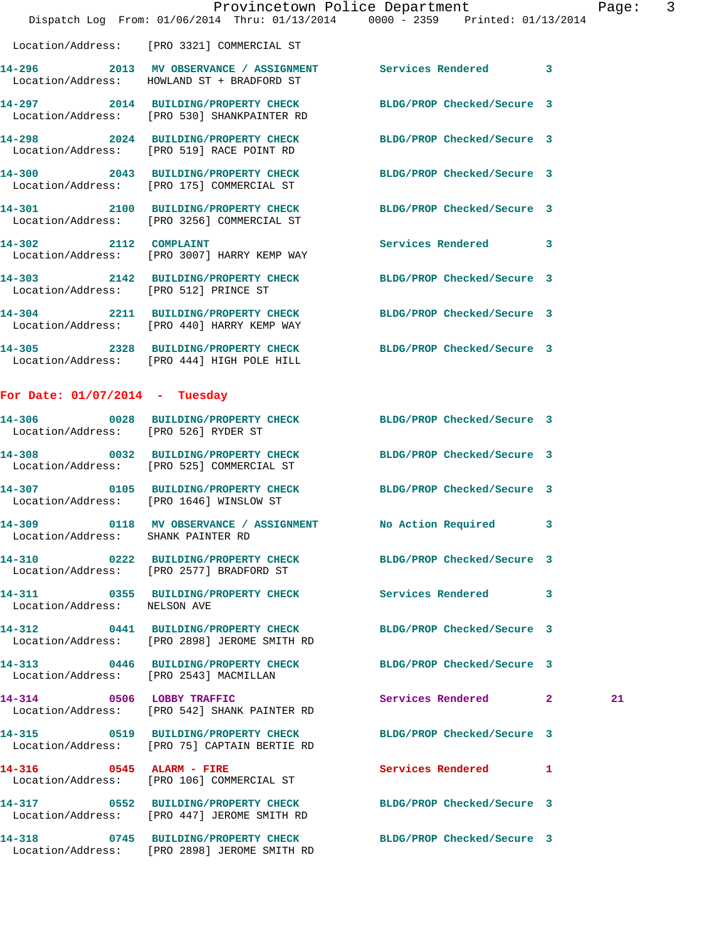|                                                | Provincetown Police Department<br>Dispatch Log From: 01/06/2014 Thru: 01/13/2014 0000 - 2359 Printed: 01/13/2014 |                            |   | Page |
|------------------------------------------------|------------------------------------------------------------------------------------------------------------------|----------------------------|---|------|
|                                                | Location/Address: [PRO 3321] COMMERCIAL ST                                                                       |                            |   |      |
|                                                | 14-296 2013 MV OBSERVANCE / ASSIGNMENT Services Rendered 3<br>Location/Address: HOWLAND ST + BRADFORD ST         |                            |   |      |
|                                                | 14-297 2014 BUILDING/PROPERTY CHECK<br>Location/Address: [PRO 530] SHANKPAINTER RD                               | BLDG/PROP Checked/Secure 3 |   |      |
|                                                | 14-298 2024 BUILDING/PROPERTY CHECK<br>Location/Address: [PRO 519] RACE POINT RD                                 | BLDG/PROP Checked/Secure 3 |   |      |
|                                                | 14-300 2043 BUILDING/PROPERTY CHECK<br>Location/Address: [PRO 175] COMMERCIAL ST                                 | BLDG/PROP Checked/Secure 3 |   |      |
|                                                | 14-301 2100 BUILDING/PROPERTY CHECK BLDG/PROP Checked/Secure 3<br>Location/Address: [PRO 3256] COMMERCIAL ST     |                            |   |      |
|                                                | 14-302 2112 COMPLAINT<br>Location/Address: [PRO 3007] HARRY KEMP WAY                                             | Services Rendered          | 3 |      |
| Location/Address: [PRO 512] PRINCE ST          | 14-303 2142 BUILDING/PROPERTY CHECK BLDG/PROP Checked/Secure 3                                                   |                            |   |      |
|                                                | 14-304 2211 BUILDING/PROPERTY CHECK<br>Location/Address: [PRO 440] HARRY KEMP WAY                                | BLDG/PROP Checked/Secure 3 |   |      |
|                                                | 14-305 2328 BUILDING/PROPERTY CHECK BLDG/PROP Checked/Secure 3<br>Location/Address: [PRO 444] HIGH POLE HILL     |                            |   |      |
| For Date: $01/07/2014$ - Tuesday               |                                                                                                                  |                            |   |      |
| 14-306<br>Location/Address: [PRO 526] RYDER ST | 0028 BUILDING/PROPERTY CHECK                                                                                     | BLDG/PROP Checked/Secure 3 |   |      |
|                                                | 14-308 0032 BUILDING/PROPERTY CHECK<br>Location/Address: [PRO 525] COMMERCIAL ST                                 | BLDG/PROP Checked/Secure 3 |   |      |
|                                                | 14-307 0105 BUILDING/PROPERTY CHECK<br>Location/Address: [PRO 1646] WINSLOW ST                                   | BLDG/PROP Checked/Secure 3 |   |      |
| Location/Address:                              | 14-309 0118 MV OBSERVANCE / ASSIGNMENT No Action Required 3<br>SHANK PAINTER RD                                  |                            |   |      |
| 14-310                                         | 0222 BUILDING/PROPERTY CHECK<br>Location/Address: [PRO 2577] BRADFORD ST                                         | BLDG/PROP Checked/Secure 3 |   |      |
| Location/Address: NELSON AVE                   | 14-311 0355 BUILDING/PROPERTY CHECK                                                                              | <b>Services Rendered</b>   | 3 |      |
|                                                | 14-312 0441 BUILDING/PROPERTY CHECK<br>Location/Address: [PRO 2898] JEROME SMITH RD                              | BLDG/PROP Checked/Secure 3 |   |      |
| Location/Address: [PRO 2543] MACMILLAN         | 14-313 0446 BUILDING/PROPERTY CHECK                                                                              | BLDG/PROP Checked/Secure 3 |   |      |
| 0506 LOBBY TRAFFIC<br>14-314                   | Location/Address: [PRO 542] SHANK PAINTER RD                                                                     | Services Rendered 2        |   | 21   |
|                                                | 14-315 0519 BUILDING/PROPERTY CHECK<br>Location/Address: [PRO 75] CAPTAIN BERTIE RD                              | BLDG/PROP Checked/Secure 3 |   |      |

Page: 3

**14-317 0552 BUILDING/PROPERTY CHECK BLDG/PROP Checked/Secure 3** 

Location/Address: [PRO 2898] JEROME SMITH RD

Location/Address: [PRO 106] COMMERCIAL ST

Location/Address: [PRO 447] JEROME SMITH RD

**14-318 0745 BUILDING/PROPERTY CHECK BLDG/PROP Checked/Secure 3** 

**14-316 0545 ALARM - FIRE Services Rendered 1**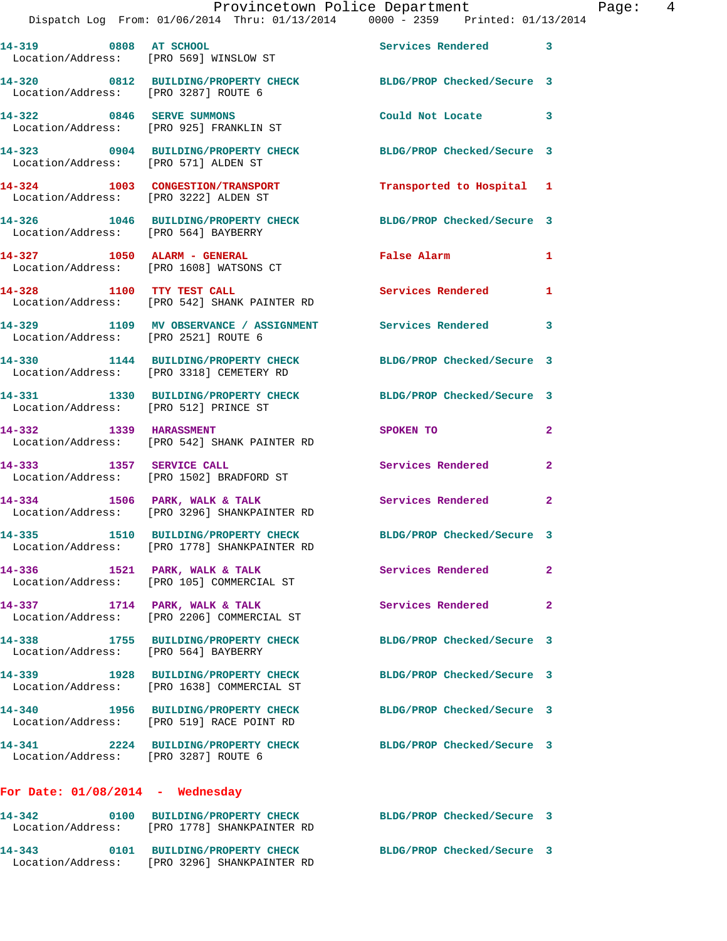| 14-319 0808 AT SCHOOL<br>Location/Address: [PRO 569] WINSLOW ST |                                                                                     | Services Rendered 3        |                |
|-----------------------------------------------------------------|-------------------------------------------------------------------------------------|----------------------------|----------------|
| Location/Address: [PRO 3287] ROUTE 6                            | 14-320 0812 BUILDING/PROPERTY CHECK                                                 | BLDG/PROP Checked/Secure 3 |                |
| 0846 SERVE SUMMONS<br>14-322                                    | Location/Address: [PRO 925] FRANKLIN ST                                             | Could Not Locate 3         |                |
| Location/Address: [PRO 571] ALDEN ST                            | 14-323 0904 BUILDING/PROPERTY CHECK                                                 | BLDG/PROP Checked/Secure 3 |                |
| Location/Address: [PRO 3222] ALDEN ST                           | 14-324 1003 CONGESTION/TRANSPORT                                                    | Transported to Hospital 1  |                |
| Location/Address: [PRO 564] BAYBERRY                            | 14-326 1046 BUILDING/PROPERTY CHECK                                                 | BLDG/PROP Checked/Secure 3 |                |
| 14-327 1050 ALARM - GENERAL                                     | Location/Address: [PRO 1608] WATSONS CT                                             | False Alarm                | $\mathbf{1}$   |
| 14-328 1100 TTY TEST CALL                                       | Location/Address: [PRO 542] SHANK PAINTER RD                                        | Services Rendered          | 1              |
| Location/Address: [PRO 2521] ROUTE 6                            | 14-329 1109 MV OBSERVANCE / ASSIGNMENT                                              | <b>Services Rendered</b>   | 3              |
|                                                                 | 14-330 1144 BUILDING/PROPERTY CHECK<br>Location/Address: [PRO 3318] CEMETERY RD     | BLDG/PROP Checked/Secure 3 |                |
| Location/Address: [PRO 512] PRINCE ST                           | 14-331 1330 BUILDING/PROPERTY CHECK                                                 | BLDG/PROP Checked/Secure 3 |                |
| 1339 HARASSMENT<br>14-332                                       | Location/Address: [PRO 542] SHANK PAINTER RD                                        | SPOKEN TO                  | $\overline{2}$ |
| 14-333 1357 SERVICE CALL                                        | Location/Address: [PRO 1502] BRADFORD ST                                            | Services Rendered          | $\mathbf{2}$   |
| 14-334                                                          | 1506 PARK, WALK & TALK<br>Location/Address: [PRO 3296] SHANKPAINTER RD              | Services Rendered          | $\mathbf{2}$   |
|                                                                 | 14-335 1510 BUILDING/PROPERTY CHECK<br>Location/Address: [PRO 1778] SHANKPAINTER RD | BLDG/PROP Checked/Secure 3 |                |
|                                                                 | 14-336 1521 PARK, WALK & TALK<br>Location/Address: [PRO 105] COMMERCIAL ST          | Services Rendered          |                |
| 14-337 1714 PARK, WALK & TALK                                   | Location/Address: [PRO 2206] COMMERCIAL ST                                          | Services Rendered          | $\sim$ 2       |
| 14-338<br>Location/Address: [PRO 564] BAYBERRY                  | 1755 BUILDING/PROPERTY CHECK                                                        | BLDG/PROP Checked/Secure 3 |                |
|                                                                 | 14-339 1928 BUILDING/PROPERTY CHECK<br>Location/Address: [PRO 1638] COMMERCIAL ST   | BLDG/PROP Checked/Secure 3 |                |
|                                                                 | 14-340 1956 BUILDING/PROPERTY CHECK<br>Location/Address: [PRO 519] RACE POINT RD    | BLDG/PROP Checked/Secure 3 |                |
| Location/Address: [PRO 3287] ROUTE 6                            | 14-341 2224 BUILDING/PROPERTY CHECK                                                 | BLDG/PROP Checked/Secure 3 |                |
| For Date: $01/08/2014$ - Wednesday                              |                                                                                     |                            |                |
| 14-342                                                          | 0100 BUILDING/PROPERTY CHECK                                                        | BLDG/PROP Checked/Secure 3 |                |

**14-343 0101 BUILDING/PROPERTY CHECK BLDG/PROP Checked/Secure 3** 

Location/Address: [PRO 1778] SHANKPAINTER RD

Location/Address: [PRO 3296] SHANKPAINTER RD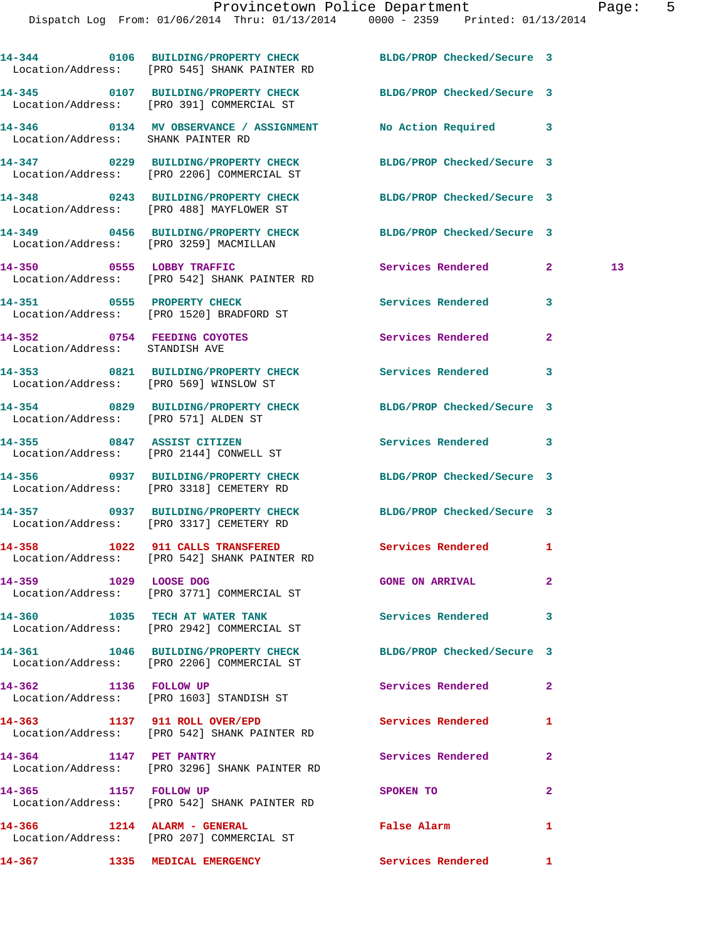|                                                               | 14-344 0106 BUILDING/PROPERTY CHECK BLDG/PROP Checked/Secure 3<br>Location/Address: [PRO 545] SHANK PAINTER RD |                            |              |    |
|---------------------------------------------------------------|----------------------------------------------------------------------------------------------------------------|----------------------------|--------------|----|
|                                                               | 14-345 0107 BUILDING/PROPERTY CHECK BLDG/PROP Checked/Secure 3<br>Location/Address: [PRO 391] COMMERCIAL ST    |                            |              |    |
| Location/Address: SHANK PAINTER RD                            | 14-346  0134 MV OBSERVANCE / ASSIGNMENT  No Action Required  3                                                 |                            |              |    |
|                                                               | 14-347 0229 BUILDING/PROPERTY CHECK BLDG/PROP Checked/Secure 3<br>Location/Address: [PRO 2206] COMMERCIAL ST   |                            |              |    |
|                                                               | 14-348 0243 BUILDING/PROPERTY CHECK BLDG/PROP Checked/Secure 3<br>Location/Address: [PRO 488] MAYFLOWER ST     |                            |              |    |
|                                                               | 14-349 0456 BUILDING/PROPERTY CHECK BLDG/PROP Checked/Secure 3<br>Location/Address: [PRO 3259] MACMILLAN       |                            |              |    |
|                                                               | 14-350 0555 LOBBY TRAFFIC<br>Location/Address: [PRO 542] SHANK PAINTER RD                                      | <b>Services Rendered</b>   | $\mathbf{2}$ | 13 |
|                                                               | 14-351 0555 PROPERTY CHECK<br>Location/Address: [PRO 1520] BRADFORD ST                                         | Services Rendered          | 3            |    |
| 14-352 0754 FEEDING COYOTES<br>Location/Address: STANDISH AVE |                                                                                                                | Services Rendered          | $\mathbf{2}$ |    |
| Location/Address: [PRO 569] WINSLOW ST                        | 14-353 0821 BUILDING/PROPERTY CHECK Services Rendered 3                                                        |                            |              |    |
| Location/Address: [PRO 571] ALDEN ST                          | 14-354 0829 BUILDING/PROPERTY CHECK BLDG/PROP Checked/Secure 3                                                 |                            |              |    |
|                                                               | 14-355 0847 ASSIST CITIZEN<br>Location/Address: [PRO 2144] CONWELL ST                                          | Services Rendered 3        |              |    |
|                                                               | 14-356 0937 BUILDING/PROPERTY CHECK<br>Location/Address: [PRO 3318] CEMETERY RD                                | BLDG/PROP Checked/Secure 3 |              |    |
|                                                               | 14-357 0937 BUILDING/PROPERTY CHECK BLDG/PROP Checked/Secure 3<br>Location/Address: [PRO 3317] CEMETERY RD     |                            |              |    |
|                                                               | 14-358 1022 911 CALLS TRANSFERED<br>Location/Address: [PRO 542] SHANK PAINTER RD                               | Services Rendered 1        |              |    |
| 14-359 1029 LOOSE DOG                                         | Location/Address: [PRO 3771] COMMERCIAL ST                                                                     | <b>GONE ON ARRIVAL</b>     |              |    |
|                                                               | 14-360 1035 TECH AT WATER TANK<br>Location/Address: [PRO 2942] COMMERCIAL ST                                   | Services Rendered          | 3            |    |
|                                                               | 14-361 1046 BUILDING/PROPERTY CHECK<br>Location/Address: [PRO 2206] COMMERCIAL ST                              | BLDG/PROP Checked/Secure 3 |              |    |
|                                                               | 14-362 1136 FOLLOW UP<br>Location/Address: [PRO 1603] STANDISH ST                                              | Services Rendered          | $\mathbf{2}$ |    |
|                                                               | 14-363 1137 911 ROLL OVER/EPD<br>Location/Address: [PRO 542] SHANK PAINTER RD                                  | <b>Services Rendered</b>   | 1            |    |
|                                                               | 14-364 1147 PET PANTRY<br>Location/Address: [PRO 3296] SHANK PAINTER RD                                        | Services Rendered          | $\mathbf{2}$ |    |
| 14-365 1157 FOLLOW UP                                         | Location/Address: [PRO 542] SHANK PAINTER RD                                                                   | SPOKEN TO                  | $\mathbf{2}$ |    |
|                                                               | 14-366 1214 ALARM - GENERAL<br>Location/Address: [PRO 207] COMMERCIAL ST                                       | False Alarm                | 1            |    |
|                                                               | 14-367 1335 MEDICAL EMERGENCY                                                                                  | Services Rendered 1        |              |    |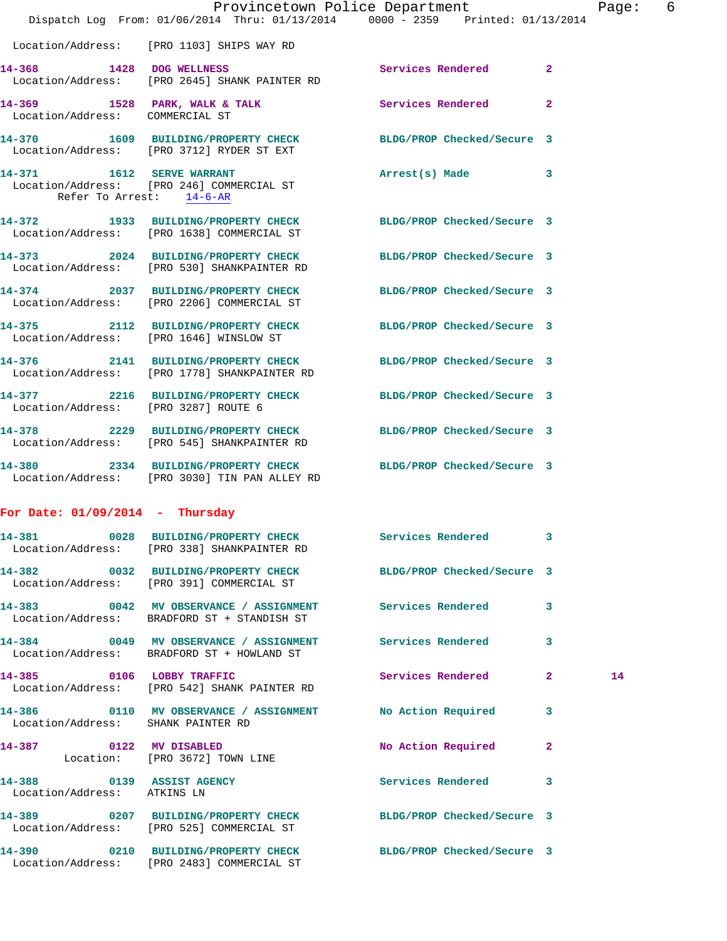|                                                          | Dispatch Log From: 01/06/2014 Thru: 01/13/2014 0000 - 2359 Printed: 01/13/2014                                  | Provincetown Police Department |              | Page: 6 |  |
|----------------------------------------------------------|-----------------------------------------------------------------------------------------------------------------|--------------------------------|--------------|---------|--|
|                                                          | Location/Address: [PRO 1103] SHIPS WAY RD                                                                       |                                |              |         |  |
|                                                          | 14-368 1428 DOG WELLNESS<br>Location/Address: [PRO 2645] SHANK PAINTER RD                                       | Services Rendered              | $\mathbf{2}$ |         |  |
| Location/Address: COMMERCIAL ST                          | 14-369 1528 PARK, WALK & TALK 1999 Services Rendered                                                            |                                | $\mathbf{2}$ |         |  |
|                                                          | 14-370 1609 BUILDING/PROPERTY CHECK BLDG/PROP Checked/Secure 3<br>Location/Address: [PRO 3712] RYDER ST EXT     |                                |              |         |  |
| Refer To Arrest: 14-6-AR                                 | 14-371 1612 SERVE WARRANT<br>Location/Address: [PRO 246] COMMERCIAL ST                                          | Arrest(s) Made                 | 3            |         |  |
|                                                          | 14-372 1933 BUILDING/PROPERTY CHECK BLDG/PROP Checked/Secure 3<br>Location/Address: [PRO 1638] COMMERCIAL ST    |                                |              |         |  |
|                                                          | 14-373 2024 BUILDING/PROPERTY CHECK BLDG/PROP Checked/Secure 3<br>Location/Address: [PRO 530] SHANKPAINTER RD   |                                |              |         |  |
|                                                          | 14-374 2037 BUILDING/PROPERTY CHECK BLDG/PROP Checked/Secure 3<br>Location/Address: [PRO 2206] COMMERCIAL ST    |                                |              |         |  |
|                                                          | 14-375 2112 BUILDING/PROPERTY CHECK BLDG/PROP Checked/Secure 3<br>Location/Address: [PRO 1646] WINSLOW ST       |                                |              |         |  |
|                                                          | 14-376 2141 BUILDING/PROPERTY CHECK BLDG/PROP Checked/Secure 3<br>Location/Address: [PRO 1778] SHANKPAINTER RD  |                                |              |         |  |
|                                                          | 14-377 2216 BUILDING/PROPERTY CHECK BLDG/PROP Checked/Secure 3<br>Location/Address: [PRO 3287] ROUTE 6          |                                |              |         |  |
|                                                          | 14-378 2229 BUILDING/PROPERTY CHECK BLDG/PROP Checked/Secure 3<br>Location/Address: [PRO 545] SHANKPAINTER RD   |                                |              |         |  |
|                                                          | 14-380 2334 BUILDING/PROPERTY CHECK BLDG/PROP Checked/Secure 3<br>Location/Address: [PRO 3030] TIN PAN ALLEY RD |                                |              |         |  |
| For Date: $01/09/2014$ - Thursday                        |                                                                                                                 |                                |              |         |  |
|                                                          | 14-381 0028 BUILDING/PROPERTY CHECK<br>Location/Address: [PRO 338] SHANKPAINTER RD                              | Services Rendered 3            |              |         |  |
|                                                          | 14-382 0032 BUILDING/PROPERTY CHECK BLDG/PROP Checked/Secure 3<br>Location/Address: [PRO 391] COMMERCIAL ST     |                                |              |         |  |
|                                                          | 14-383 6042 MV OBSERVANCE / ASSIGNMENT Services Rendered<br>Location/Address: BRADFORD ST + STANDISH ST         |                                | 3            |         |  |
|                                                          | 14-384 0049 MV OBSERVANCE / ASSIGNMENT Services Rendered 3<br>Location/Address: BRADFORD ST + HOWLAND ST        |                                |              |         |  |
|                                                          | 14-385 0106 LOBBY TRAFFIC<br>Location/Address: [PRO 542] SHANK PAINTER RD                                       | Services Rendered              | $\mathbf{2}$ | 14      |  |
| Location/Address: SHANK PAINTER RD                       | 14-386 0110 MV OBSERVANCE / ASSIGNMENT No Action Required 3                                                     |                                |              |         |  |
|                                                          | 14-387 0122 MV DISABLED<br>Location: [PRO 3672] TOWN LINE                                                       | No Action Required             | $\mathbf{2}$ |         |  |
| 14-388 0139 ASSIST AGENCY<br>Location/Address: ATKINS LN |                                                                                                                 | Services Rendered              | 3            |         |  |
|                                                          | 14-389 0207 BUILDING/PROPERTY CHECK BLDG/PROP Checked/Secure 3<br>Location/Address: [PRO 525] COMMERCIAL ST     |                                |              |         |  |
|                                                          |                                                                                                                 |                                |              |         |  |

**14-390 0210 BUILDING/PROPERTY CHECK BLDG/PROP Checked/Secure 3** 

Location/Address: [PRO 2483] COMMERCIAL ST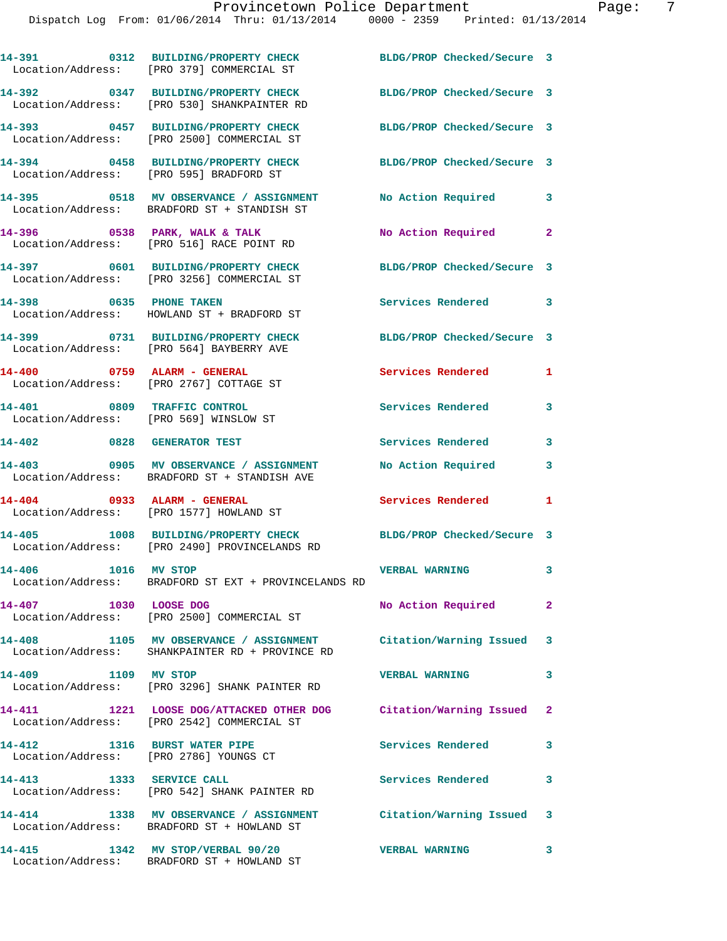|                                                                       | 14-391 0312 BUILDING/PROPERTY CHECK<br>Location/Address: [PRO 379] COMMERCIAL ST                                    | BLDG/PROP Checked/Secure 3 |              |
|-----------------------------------------------------------------------|---------------------------------------------------------------------------------------------------------------------|----------------------------|--------------|
|                                                                       | 14-392 0347 BUILDING/PROPERTY CHECK<br>Location/Address: [PRO 530] SHANKPAINTER RD                                  | BLDG/PROP Checked/Secure 3 |              |
|                                                                       | 14-393 0457 BUILDING/PROPERTY CHECK<br>Location/Address: [PRO 2500] COMMERCIAL ST                                   | BLDG/PROP Checked/Secure 3 |              |
|                                                                       | 14-394 0458 BUILDING/PROPERTY CHECK<br>Location/Address: [PRO 595] BRADFORD ST                                      | BLDG/PROP Checked/Secure 3 |              |
|                                                                       | 14-395 0518 MV OBSERVANCE / ASSIGNMENT<br>Location/Address: BRADFORD ST + STANDISH ST                               | No Action Required 3       |              |
|                                                                       | 14-396 0538 PARK, WALK & TALK<br>Location/Address: [PRO 516] RACE POINT RD                                          | No Action Required 2       |              |
|                                                                       | 14-397 0601 BUILDING/PROPERTY CHECK<br>Location/Address: [PRO 3256] COMMERCIAL ST                                   | BLDG/PROP Checked/Secure 3 |              |
|                                                                       | 14-398 0635 PHONE TAKEN<br>Location/Address: HOWLAND ST + BRADFORD ST                                               | Services Rendered 3        |              |
|                                                                       | 14-399 0731 BUILDING/PROPERTY CHECK<br>Location/Address: [PRO 564] BAYBERRY AVE                                     | BLDG/PROP Checked/Secure 3 |              |
|                                                                       | 14-400 0759 ALARM - GENERAL<br>Location/Address: [PRO 2767] COTTAGE ST                                              | Services Rendered          | 1            |
| 14-401 0809 TRAFFIC CONTROL<br>Location/Address: [PRO 569] WINSLOW ST |                                                                                                                     | Services Rendered          | 3            |
| 14-402 0828 GENERATOR TEST                                            |                                                                                                                     | <b>Services Rendered</b>   | 3            |
| 14-403                                                                | 0905 MV OBSERVANCE / ASSIGNMENT<br>Location/Address: BRADFORD ST + STANDISH AVE                                     | No Action Required         | 3            |
|                                                                       | 14-404 0933 ALARM - GENERAL<br>Location/Address: [PRO 1577] HOWLAND ST                                              | Services Rendered          | 1            |
|                                                                       | 14-405 1008 BUILDING/PROPERTY CHECK<br>Location/Address: [PRO 2490] PROVINCELANDS RD                                | BLDG/PROP Checked/Secure 3 |              |
| 14-406 1016 MV STOP                                                   | Location/Address: BRADFORD ST EXT + PROVINCELANDS RD                                                                | <b>VERBAL WARNING</b>      | 3            |
| 1030 LOOSE DOG<br>14-407                                              | Location/Address: [PRO 2500] COMMERCIAL ST                                                                          | No Action Required         | $\mathbf{2}$ |
|                                                                       | 14-408 1105 MV OBSERVANCE / ASSIGNMENT Citation/Warning Issued 3<br>Location/Address: SHANKPAINTER RD + PROVINCE RD |                            |              |
| 14-409 1109 MV STOP                                                   | Location/Address: [PRO 3296] SHANK PAINTER RD                                                                       | <b>VERBAL WARNING</b>      | $\mathbf{3}$ |
|                                                                       | 14-411 1221 LOOSE DOG/ATTACKED OTHER DOG Citation/Warning Issued 2<br>Location/Address: [PRO 2542] COMMERCIAL ST    |                            |              |
| 14-412                                                                | 1316 BURST WATER PIPE<br>Location/Address: [PRO 2786] YOUNGS CT                                                     | <b>Services Rendered</b>   | 3            |
| 14-413 1333 SERVICE CALL                                              | Location/Address: [PRO 542] SHANK PAINTER RD                                                                        | <b>Services Rendered</b>   | 3            |
| 14-414                                                                | 1338 MV OBSERVANCE / ASSIGNMENT Citation/Warning Issued 3<br>Location/Address: BRADFORD ST + HOWLAND ST             |                            |              |
|                                                                       | 14-415 1342 MV STOP/VERBAL 90/20<br>Location/Address: BRADFORD ST + HOWLAND ST                                      | <b>VERBAL WARNING</b>      | 3            |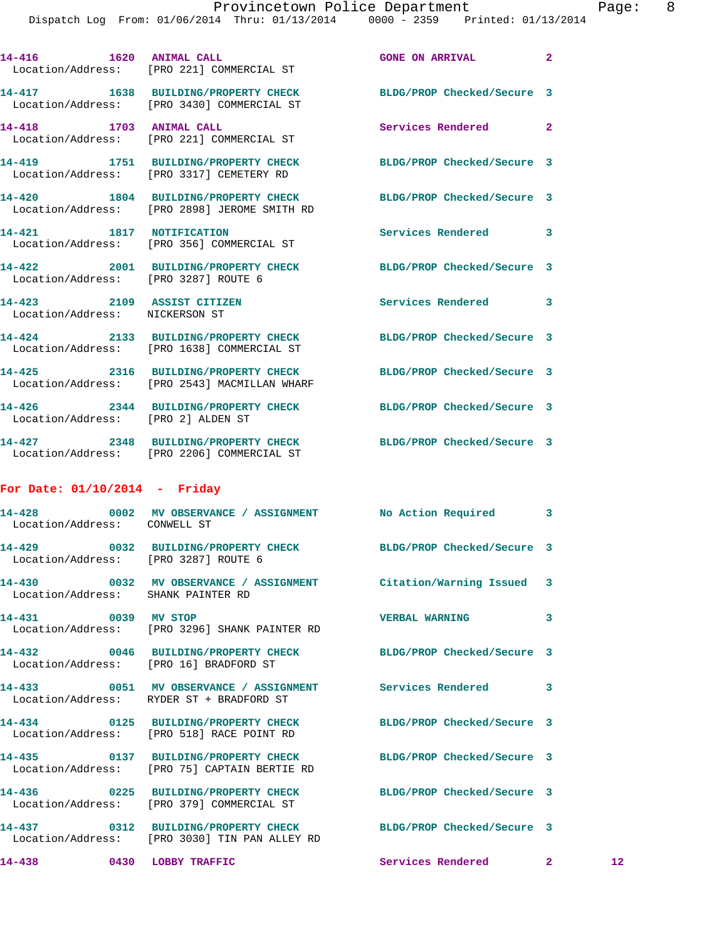|                                    | 14-416    1620    ANIMAL CALL<br>Location/Address: [PRO 221] COMMERCIAL ST                                      | <b>GONE ON ARRIVAL</b>     | $\overline{2}$ |                 |
|------------------------------------|-----------------------------------------------------------------------------------------------------------------|----------------------------|----------------|-----------------|
|                                    | 14-417 1638 BUILDING/PROPERTY CHECK BLDG/PROP Checked/Secure 3<br>Location/Address: [PRO 3430] COMMERCIAL ST    |                            |                |                 |
|                                    | 14-418 1703 ANIMAL CALL<br>Location/Address: [PRO 221] COMMERCIAL ST                                            | Services Rendered          | $\overline{2}$ |                 |
|                                    | 14-419 1751 BUILDING/PROPERTY CHECK BLDG/PROP Checked/Secure 3<br>Location/Address: [PRO 3317] CEMETERY RD      |                            |                |                 |
|                                    | 14-420 1804 BUILDING/PROPERTY CHECK BLDG/PROP Checked/Secure 3<br>Location/Address: [PRO 2898] JEROME SMITH RD  |                            |                |                 |
|                                    | 14-421 1817 NOTIFICATION<br>Location/Address: [PRO 356] COMMERCIAL ST                                           | Services Rendered          | 3              |                 |
| 14-422                             | 2001 BUILDING/PROPERTY CHECK BLDG/PROP Checked/Secure 3<br>Location/Address: [PRO 3287] ROUTE 6                 |                            |                |                 |
| Location/Address: NICKERSON ST     | 14-423 2109 ASSIST CITIZEN                                                                                      | Services Rendered          | 3              |                 |
|                                    | 14-424 2133 BUILDING/PROPERTY CHECK<br>Location/Address: [PRO 1638] COMMERCIAL ST                               | BLDG/PROP Checked/Secure 3 |                |                 |
|                                    | 14-425 2316 BUILDING/PROPERTY CHECK BLDG/PROP Checked/Secure 3<br>Location/Address: [PRO 2543] MACMILLAN WHARF  |                            |                |                 |
| Location/Address: [PRO 2] ALDEN ST | 14-426 2344 BUILDING/PROPERTY CHECK BLDG/PROP Checked/Secure 3                                                  |                            |                |                 |
|                                    | 14-427 2348 BUILDING/PROPERTY CHECK BLDG/PROP Checked/Secure 3<br>Location/Address: [PRO 2206] COMMERCIAL ST    |                            |                |                 |
| For Date: $01/10/2014$ - Friday    |                                                                                                                 |                            |                |                 |
| Location/Address: CONWELL ST       | 14-428 0002 MV OBSERVANCE / ASSIGNMENT NO Action Required 3                                                     |                            |                |                 |
|                                    | 14-429 0032 BUILDING/PROPERTY CHECK BLDG/PROP Checked/Secure 3<br>Location/Address: [PRO 3287] ROUTE 6          |                            |                |                 |
| Location/Address: SHANK PAINTER RD | 14-430 0032 MV OBSERVANCE / ASSIGNMENT Citation/Warning Issued                                                  |                            | 3              |                 |
| 14-431 0039 MV STOP                | Location/Address: [PRO 3296] SHANK PAINTER RD                                                                   | <b>VERBAL WARNING</b>      | 3              |                 |
|                                    | 14-432 0046 BUILDING/PROPERTY CHECK BLDG/PROP Checked/Secure 3<br>Location/Address: [PRO 16] BRADFORD ST        |                            |                |                 |
| 14-433                             | 0051 MV OBSERVANCE / ASSIGNMENT Services Rendered 3<br>Location/Address: RYDER ST + BRADFORD ST                 |                            |                |                 |
|                                    | 14-434 0125 BUILDING/PROPERTY CHECK<br>Location/Address: [PRO 518] RACE POINT RD                                | BLDG/PROP Checked/Secure 3 |                |                 |
|                                    | 14-435 0137 BUILDING/PROPERTY CHECK BLDG/PROP Checked/Secure 3<br>Location/Address: [PRO 75] CAPTAIN BERTIE RD  |                            |                |                 |
|                                    | 14-436 0225 BUILDING/PROPERTY CHECK BLDG/PROP Checked/Secure 3<br>Location/Address: [PRO 379] COMMERCIAL ST     |                            |                |                 |
|                                    | 14-437 0312 BUILDING/PROPERTY CHECK BLDG/PROP Checked/Secure 3<br>Location/Address: [PRO 3030] TIN PAN ALLEY RD |                            |                |                 |
| 14-438 0430 LOBBY TRAFFIC          |                                                                                                                 | Services Rendered 2        |                | 12 <sub>1</sub> |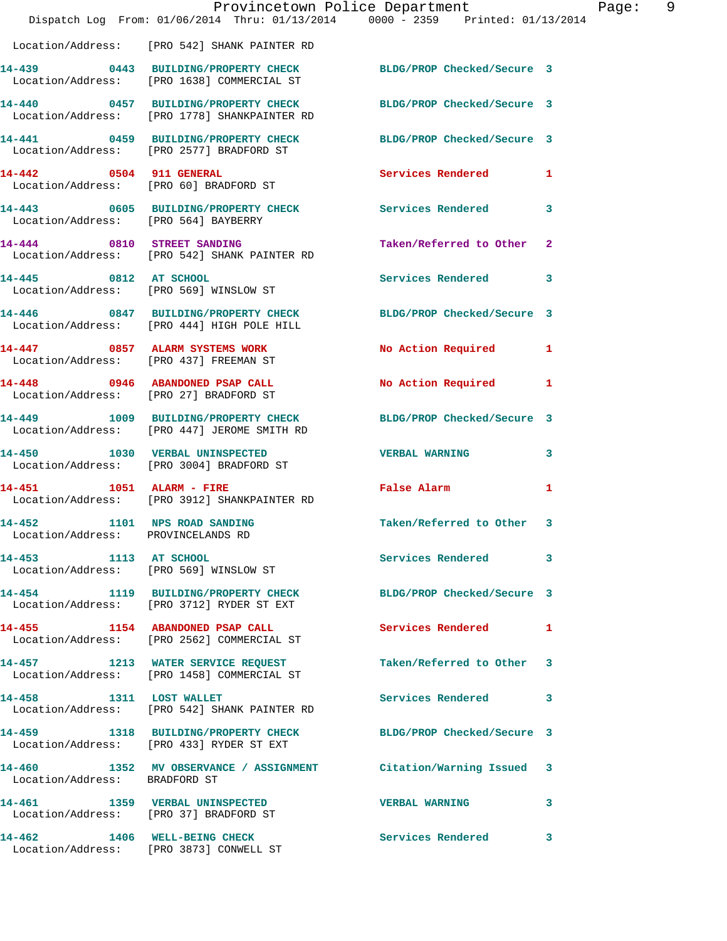|                                                                    |                                                                                   | Provincetown Police Department<br>Dispatch Log From: 01/06/2014 Thru: 01/13/2014 0000 - 2359 Printed: 01/13/2014 | Page: 9                 |
|--------------------------------------------------------------------|-----------------------------------------------------------------------------------|------------------------------------------------------------------------------------------------------------------|-------------------------|
|                                                                    | Location/Address: [PRO 542] SHANK PAINTER RD                                      |                                                                                                                  |                         |
|                                                                    | Location/Address: [PRO 1638] COMMERCIAL ST                                        | 14-439 0443 BUILDING/PROPERTY CHECK BLDG/PROP Checked/Secure 3                                                   |                         |
|                                                                    | Location/Address: [PRO 1778] SHANKPAINTER RD                                      | 14-440 0457 BUILDING/PROPERTY CHECK BLDG/PROP Checked/Secure 3                                                   |                         |
|                                                                    |                                                                                   | 14-441 0459 BUILDING/PROPERTY CHECK BLDG/PROP Checked/Secure 3<br>Location/Address: [PRO 2577] BRADFORD ST       |                         |
|                                                                    | 14-442 0504 911 GENERAL<br>Location/Address: [PRO 60] BRADFORD ST                 | Services Rendered 1                                                                                              |                         |
| Location/Address: [PRO 564] BAYBERRY                               |                                                                                   | 14-443 0605 BUILDING/PROPERTY CHECK Services Rendered                                                            | $\overline{\mathbf{3}}$ |
|                                                                    | 14-444 0810 STREET SANDING<br>Location/Address: [PRO 542] SHANK PAINTER RD        | Taken/Referred to Other 2                                                                                        |                         |
| 14-445 0812 AT SCHOOL                                              | Location/Address: [PRO 569] WINSLOW ST                                            | Services Rendered 3                                                                                              |                         |
|                                                                    | 14-446 0847 BUILDING/PROPERTY CHECK<br>Location/Address: [PRO 444] HIGH POLE HILL | BLDG/PROP Checked/Secure 3                                                                                       |                         |
|                                                                    | 14-447 0857 ALARM SYSTEMS WORK<br>Location/Address: [PRO 437] FREEMAN ST          | No Action Required 1                                                                                             |                         |
| Location/Address: [PRO 27] BRADFORD ST                             | 14-448 0946 ABANDONED PSAP CALL                                                   | No Action Required 1                                                                                             |                         |
|                                                                    | Location/Address: [PRO 447] JEROME SMITH RD                                       | 14-449 1009 BUILDING/PROPERTY CHECK BLDG/PROP Checked/Secure 3                                                   |                         |
|                                                                    | 14-450 1030 VERBAL UNINSPECTED<br>Location/Address: [PRO 3004] BRADFORD ST        | <b>VERBAL WARNING</b>                                                                                            | 3                       |
| 14-451 1051 ALARM - FIRE                                           | Location/Address: [PRO 3912] SHANKPAINTER RD                                      | False Alarm <b>Exercise Service Service</b>                                                                      | 1                       |
| 14-452 1101 NPS ROAD SANDING<br>Location/Address: PROVINCELANDS RD |                                                                                   | Taken/Referred to Other 3                                                                                        |                         |
| 14-453 1113 AT SCHOOL<br>Location/Address: [PRO 569] WINSLOW ST    |                                                                                   | Services Rendered 3                                                                                              |                         |
|                                                                    | Location/Address: [PRO 3712] RYDER ST EXT                                         | 14-454 1119 BUILDING/PROPERTY CHECK BLDG/PROP Checked/Secure 3                                                   |                         |
|                                                                    | 14-455 1154 ABANDONED PSAP CALL<br>Location/Address: [PRO 2562] COMMERCIAL ST     | Services Rendered 1                                                                                              |                         |
|                                                                    | 14-457 1213 WATER SERVICE REQUEST<br>Location/Address: [PRO 1458] COMMERCIAL ST   | Taken/Referred to Other 3                                                                                        |                         |
|                                                                    | 14-458 1311 LOST WALLET<br>Location/Address: [PRO 542] SHANK PAINTER RD           | Services Rendered 3                                                                                              |                         |
|                                                                    | 14-459 1318 BUILDING/PROPERTY CHECK<br>Location/Address: [PRO 433] RYDER ST EXT   | BLDG/PROP Checked/Secure 3                                                                                       |                         |
| Location/Address: BRADFORD ST                                      |                                                                                   | 14-460 1352 MV OBSERVANCE / ASSIGNMENT Citation/Warning Issued 3                                                 |                         |
| Location/Address: [PRO 37] BRADFORD ST                             | 14-461 1359 VERBAL UNINSPECTED                                                    | <b>VERBAL WARNING</b>                                                                                            | 3                       |
|                                                                    | 14-462 1406 WELL-BEING CHECK<br>Location/Address: [PRO 3873] CONWELL ST           | <b>Services Rendered</b> 3                                                                                       |                         |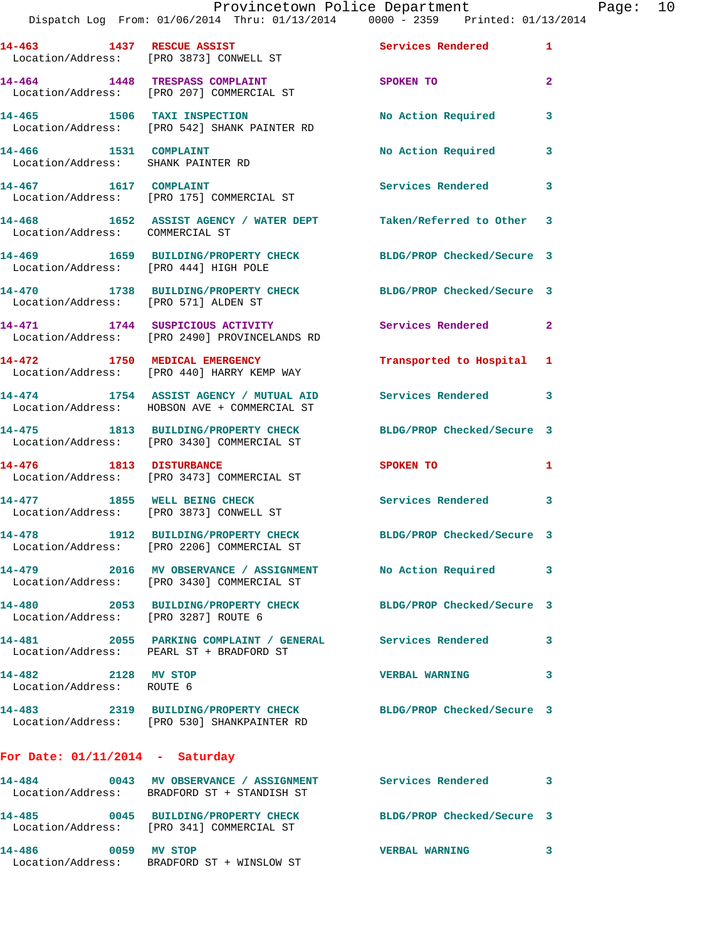|                                                               | Provincetown Police Department<br>Dispatch Log From: 01/06/2014 Thru: 01/13/2014 0000 - 2359 Printed: 01/13/2014 |                            |              |
|---------------------------------------------------------------|------------------------------------------------------------------------------------------------------------------|----------------------------|--------------|
|                                                               | 14-463 1437 RESCUE ASSIST<br>Location/Address: [PRO 3873] CONWELL ST                                             | Services Rendered          | 1            |
|                                                               | 14-464 1448 TRESPASS COMPLAINT<br>Location/Address: [PRO 207] COMMERCIAL ST                                      | SPOKEN TO                  | $\mathbf{2}$ |
|                                                               | 14-465 1506 TAXI INSPECTION<br>Location/Address: [PRO 542] SHANK PAINTER RD                                      | No Action Required         | 3            |
| $14-466$ 1531 COMPLAINT<br>Location/Address: SHANK PAINTER RD |                                                                                                                  | No Action Required         | $\mathbf{3}$ |
|                                                               | 14-467 1617 COMPLAINT<br>Location/Address: [PRO 175] COMMERCIAL ST                                               | Services Rendered          | 3            |
|                                                               | 14-468 1652 ASSIST AGENCY / WATER DEPT Taken/Referred to Other 3<br>Location/Address: COMMERCIAL ST              |                            |              |
| Location/Address: [PRO 444] HIGH POLE                         | 14-469 1659 BUILDING/PROPERTY CHECK                                                                              | BLDG/PROP Checked/Secure 3 |              |
| Location/Address: [PRO 571] ALDEN ST                          | 14-470 1738 BUILDING/PROPERTY CHECK BLDG/PROP Checked/Secure 3                                                   |                            |              |
|                                                               | 14-471 1744 SUSPICIOUS ACTIVITY<br>Location/Address: [PRO 2490] PROVINCELANDS RD                                 | <b>Services Rendered</b> 2 |              |
|                                                               | 14-472 1750 MEDICAL EMERGENCY<br>Location/Address: [PRO 440] HARRY KEMP WAY                                      | Transported to Hospital 1  |              |
|                                                               | 14-474 1754 ASSIST AGENCY / MUTUAL AID Services Rendered 3<br>Location/Address: HOBSON AVE + COMMERCIAL ST       |                            |              |
|                                                               | 14-475 1813 BUILDING/PROPERTY CHECK<br>Location/Address: [PRO 3430] COMMERCIAL ST                                | BLDG/PROP Checked/Secure 3 |              |
| 14-476 1813 DISTURBANCE                                       | Location/Address: [PRO 3473] COMMERCIAL ST                                                                       | SPOKEN TO                  | 1            |
|                                                               | 14-477 1855 WELL BEING CHECK<br>Location/Address: [PRO 3873] CONWELL ST                                          | Services Rendered          | 3            |
|                                                               | 14-478 1912 BUILDING/PROPERTY CHECK<br>Location/Address: [PRO 2206] COMMERCIAL ST                                | BLDG/PROP Checked/Secure 3 |              |
|                                                               | 14-479 2016 MV OBSERVANCE / ASSIGNMENT No Action Required<br>Location/Address: [PRO 3430] COMMERCIAL ST          |                            | 3            |
| Location/Address: [PRO 3287] ROUTE 6                          | 14-480 2053 BUILDING/PROPERTY CHECK                                                                              | BLDG/PROP Checked/Secure 3 |              |
|                                                               | 14-481 2055 PARKING COMPLAINT / GENERAL Services Rendered<br>Location/Address: PEARL ST + BRADFORD ST            |                            | 3            |
| 14-482 2128 MV STOP<br>Location/Address: ROUTE 6              |                                                                                                                  | <b>VERBAL WARNING</b>      | 3            |
|                                                               | 14-483 2319 BUILDING/PROPERTY CHECK BLDG/PROP Checked/Secure 3<br>Location/Address: [PRO 530] SHANKPAINTER RD    |                            |              |
| For Date: $01/11/2014$ - Saturday                             |                                                                                                                  |                            |              |
|                                                               | 14-484 0043 MV OBSERVANCE / ASSIGNMENT Services Rendered<br>Location/Address: BRADFORD ST + STANDISH ST          |                            | 3            |
| 14-485                                                        | 0045 BUILDING/PROPERTY CHECK BLDG/PROP Checked/Secure 3<br>Location/Address: [PRO 341] COMMERCIAL ST             |                            |              |
|                                                               |                                                                                                                  |                            |              |

Page: 10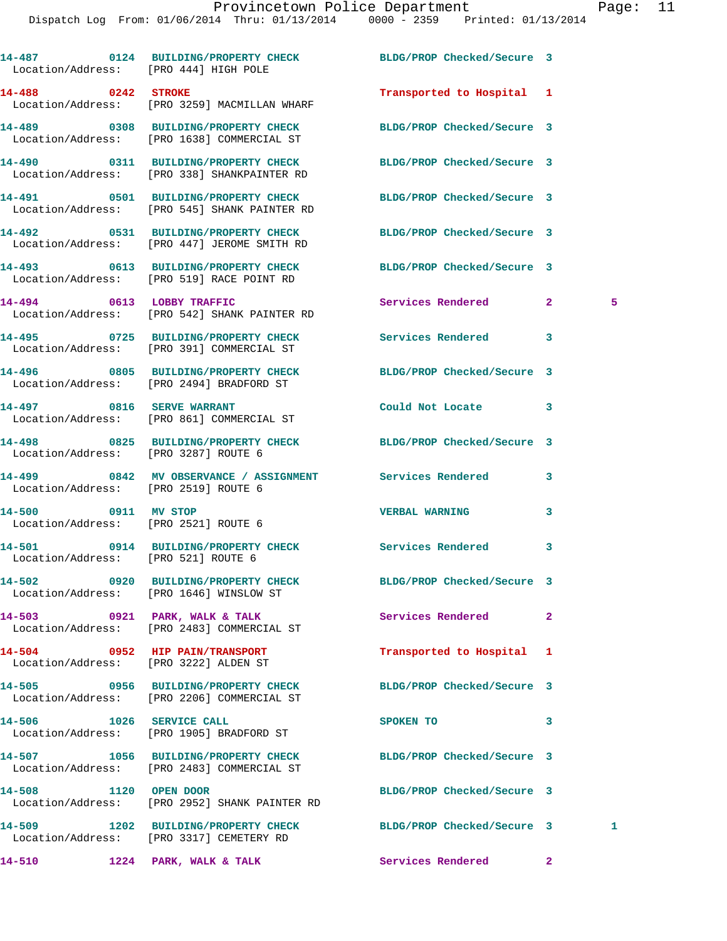| Location/Address: [PRO 444] HIGH POLE | 14-487 0124 BUILDING/PROPERTY CHECK BLDG/PROP Checked/Secure 3                                                |                            |                |   |
|---------------------------------------|---------------------------------------------------------------------------------------------------------------|----------------------------|----------------|---|
| 14-488 0242 STROKE                    | Location/Address: [PRO 3259] MACMILLAN WHARF                                                                  | Transported to Hospital 1  |                |   |
|                                       | 14-489 0308 BUILDING/PROPERTY CHECK<br>Location/Address: [PRO 1638] COMMERCIAL ST                             | BLDG/PROP Checked/Secure 3 |                |   |
|                                       | 14-490 0311 BUILDING/PROPERTY CHECK BLDG/PROP Checked/Secure 3<br>Location/Address: [PRO 338] SHANKPAINTER RD |                            |                |   |
|                                       | 14-491 0501 BUILDING/PROPERTY CHECK<br>Location/Address: [PRO 545] SHANK PAINTER RD                           | BLDG/PROP Checked/Secure 3 |                |   |
|                                       | 14-492 0531 BUILDING/PROPERTY CHECK BLDG/PROP Checked/Secure 3<br>Location/Address: [PRO 447] JEROME SMITH RD |                            |                |   |
|                                       | 14-493 0613 BUILDING/PROPERTY CHECK BLDG/PROP Checked/Secure 3<br>Location/Address: [PRO 519] RACE POINT RD   |                            |                |   |
|                                       | 14-494 0613 LOBBY TRAFFIC<br>Location/Address: [PRO 542] SHANK PAINTER RD                                     | Services Rendered          | $\mathbf{2}$   | 5 |
|                                       | 14-495 0725 BUILDING/PROPERTY CHECK<br>Location/Address: [PRO 391] COMMERCIAL ST                              | Services Rendered          | 3              |   |
|                                       | Location/Address: [PRO 2494] BRADFORD ST                                                                      |                            |                |   |
|                                       | 14-497 0816 SERVE WARRANT<br>Location/Address: [PRO 861] COMMERCIAL ST                                        | Could Not Locate 3         |                |   |
| Location/Address: [PRO 3287] ROUTE 6  | 14-498 0825 BUILDING/PROPERTY CHECK BLDG/PROP Checked/Secure 3                                                |                            |                |   |
| Location/Address: [PRO 2519] ROUTE 6  | 14-499 6842 MV OBSERVANCE / ASSIGNMENT Services Rendered                                                      |                            | 3              |   |
| 14-500 0911 MV STOP                   | Location/Address: [PRO 2521] ROUTE 6                                                                          | <b>VERBAL WARNING</b>      | 3              |   |
| Location/Address: [PRO 521] ROUTE 6   | 14-501 0914 BUILDING/PROPERTY CHECK Services Rendered                                                         |                            | 3              |   |
|                                       | 14-502 0920 BUILDING/PROPERTY CHECK<br>Location/Address: [PRO 1646] WINSLOW ST                                | BLDG/PROP Checked/Secure 3 |                |   |
|                                       | 14-503 0921 PARK, WALK & TALK<br>Location/Address: [PRO 2483] COMMERCIAL ST                                   | Services Rendered          | $\overline{2}$ |   |
| Location/Address: [PRO 3222] ALDEN ST | 14-504 0952 HIP PAIN/TRANSPORT                                                                                | Transported to Hospital    | 1              |   |
|                                       | 14-505 0956 BUILDING/PROPERTY CHECK<br>Location/Address: [PRO 2206] COMMERCIAL ST                             | BLDG/PROP Checked/Secure 3 |                |   |
| 14-506 1026 SERVICE CALL              | Location/Address: [PRO 1905] BRADFORD ST                                                                      | SPOKEN TO                  | 3              |   |
|                                       | 14-507 1056 BUILDING/PROPERTY CHECK BLDG/PROP Checked/Secure 3<br>Location/Address: [PRO 2483] COMMERCIAL ST  |                            |                |   |
| 14-508 1120 OPEN DOOR                 | Location/Address: [PRO 2952] SHANK PAINTER RD                                                                 | BLDG/PROP Checked/Secure 3 |                |   |
|                                       | 14-509 1202 BUILDING/PROPERTY CHECK<br>Location/Address: [PRO 3317] CEMETERY RD                               | BLDG/PROP Checked/Secure 3 |                | 1 |
| 14-510                                | 1224 PARK, WALK & TALK                                                                                        | Services Rendered          | $\mathbf{2}$   |   |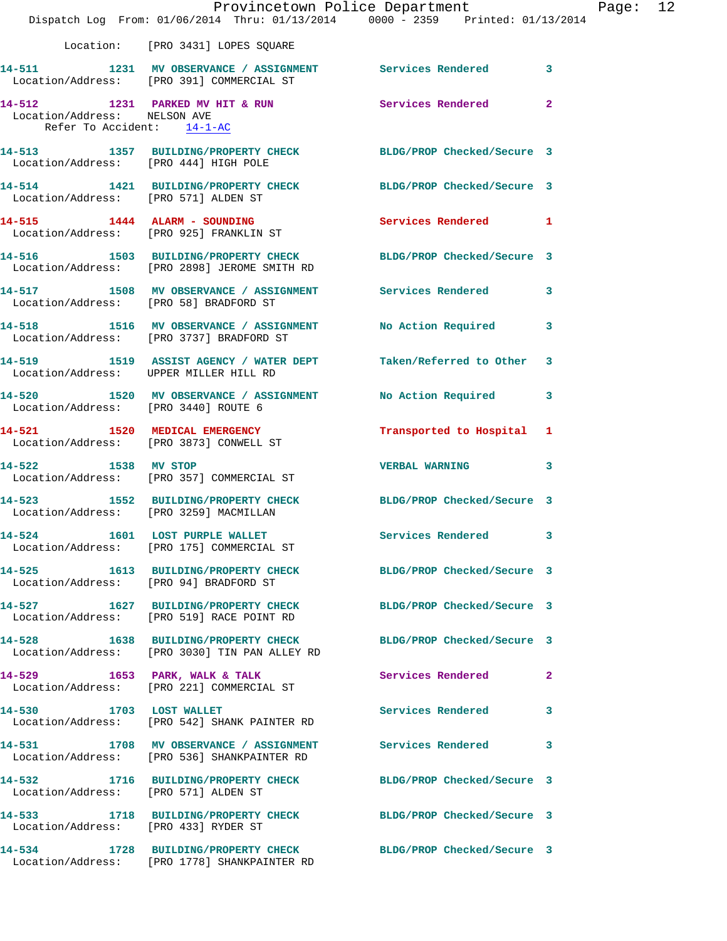|                                                            | Dispatch Log From: 01/06/2014 Thru: 01/13/2014 0000 - 2359 Printed: 01/13/2014                                  | Provincetown Police Department Page: 12 |              |  |
|------------------------------------------------------------|-----------------------------------------------------------------------------------------------------------------|-----------------------------------------|--------------|--|
|                                                            | Location: [PRO 3431] LOPES SQUARE                                                                               |                                         |              |  |
|                                                            | 14-511 1231 MV OBSERVANCE / ASSIGNMENT Services Rendered 3<br>Location/Address: [PRO 391] COMMERCIAL ST         |                                         |              |  |
| Location/Address: NELSON AVE<br>Refer To Accident: 14-1-AC | 14-512 1231 PARKED MV HIT & RUN Services Rendered 2                                                             |                                         |              |  |
| Location/Address: [PRO 444] HIGH POLE                      | 14-513 1357 BUILDING/PROPERTY CHECK BLDG/PROP Checked/Secure 3                                                  |                                         |              |  |
|                                                            | 14-514 1421 BUILDING/PROPERTY CHECK BLDG/PROP Checked/Secure 3<br>Location/Address: [PRO 571] ALDEN ST          |                                         |              |  |
|                                                            | 14-515 1444 ALARM - SOUNDING Services Rendered 1<br>Location/Address: [PRO 925] FRANKLIN ST                     |                                         |              |  |
|                                                            | 14-516 1503 BUILDING/PROPERTY CHECK BLDG/PROP Checked/Secure 3<br>Location/Address: [PRO 2898] JEROME SMITH RD  |                                         |              |  |
| Location/Address: [PRO 58] BRADFORD ST                     | 14-517 1508 MV OBSERVANCE / ASSIGNMENT Services Rendered 3                                                      |                                         |              |  |
|                                                            | 14-518 1516 MV OBSERVANCE / ASSIGNMENT No Action Required 3<br>Location/Address: [PRO 3737] BRADFORD ST         |                                         |              |  |
| Location/Address: UPPER MILLER HILL RD                     | 14-519 1519 ASSIST AGENCY / WATER DEPT Taken/Referred to Other 3                                                |                                         |              |  |
| Location/Address: [PRO 3440] ROUTE 6                       | 14-520 1520 MV OBSERVANCE / ASSIGNMENT No Action Required 3                                                     |                                         |              |  |
|                                                            | 14-521 1520 MEDICAL EMERGENCY<br>Location/Address: [PRO 3873] CONWELL ST                                        | Transported to Hospital 1               |              |  |
| 14-522 1538 MV STOP                                        | Location/Address: [PRO 357] COMMERCIAL ST                                                                       | <b>VERBAL WARNING 3</b>                 |              |  |
| Location/Address: [PRO 3259] MACMILLAN                     | 14-523 1552 BUILDING/PROPERTY CHECK BLDG/PROP Checked/Secure 3                                                  |                                         |              |  |
|                                                            | 14-524 1601 LOST PURPLE WALLET<br>Location/Address: [PRO 175] COMMERCIAL ST                                     | Services Rendered 3                     |              |  |
|                                                            | 14-525 1613 BUILDING/PROPERTY CHECK BLDG/PROP Checked/Secure 3<br>Location/Address: [PRO 94] BRADFORD ST        |                                         |              |  |
|                                                            | 14-527 1627 BUILDING/PROPERTY CHECK<br>Location/Address: [PRO 519] RACE POINT RD                                | BLDG/PROP Checked/Secure 3              |              |  |
|                                                            | 14-528 1638 BUILDING/PROPERTY CHECK BLDG/PROP Checked/Secure 3<br>Location/Address: [PRO 3030] TIN PAN ALLEY RD |                                         |              |  |
|                                                            | 14-529 1653 PARK, WALK & TALK<br>Location/Address: [PRO 221] COMMERCIAL ST                                      | Services Rendered                       | $\mathbf{2}$ |  |
|                                                            | 14-530 1703 LOST WALLET<br>Location/Address: [PRO 542] SHANK PAINTER RD                                         | Services Rendered                       | $\mathbf{3}$ |  |
|                                                            | 14-531 1708 MV OBSERVANCE / ASSIGNMENT Services Rendered 3<br>Location/Address: [PRO 536] SHANKPAINTER RD       |                                         |              |  |
| Location/Address: [PRO 571] ALDEN ST                       | 14-532 1716 BUILDING/PROPERTY CHECK BLDG/PROP Checked/Secure 3                                                  |                                         |              |  |
| Location/Address: [PRO 433] RYDER ST                       | 14-533 1718 BUILDING/PROPERTY CHECK BLDG/PROP Checked/Secure 3                                                  |                                         |              |  |
|                                                            | 14-534 1728 BUILDING/PROPERTY CHECK BLDG/PROP Checked/Secure 3<br>Location/Address: [PRO 1778] SHANKPAINTER RD  |                                         |              |  |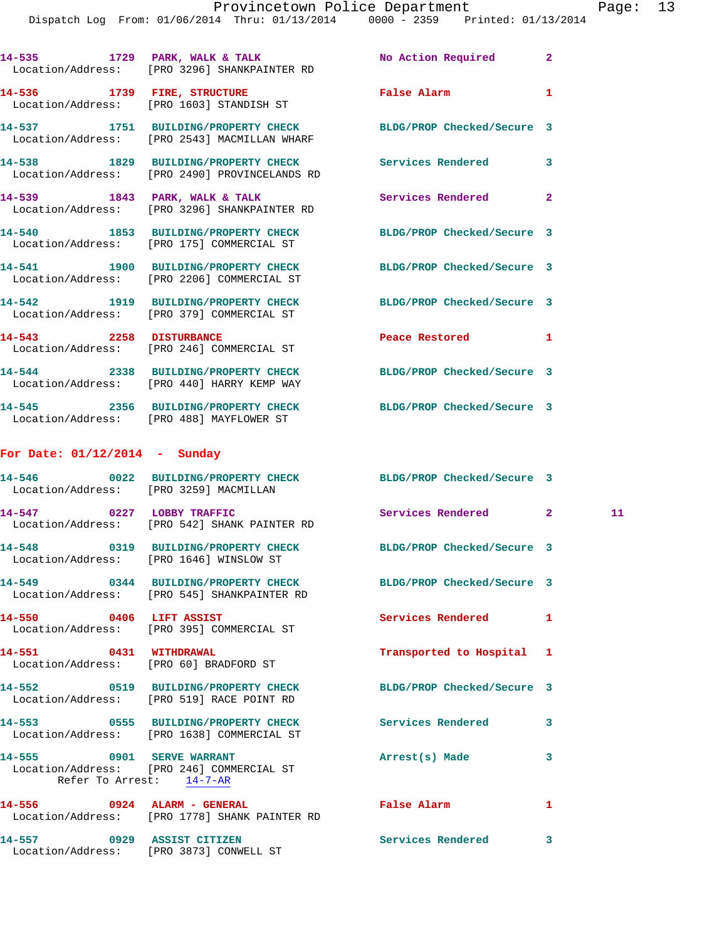Dispatch Log From: 01/06/2014 Thru: 01/13/2014 0000 - 2359 Printed: 01/13/2014

|                                 | 14-535 1729 PARK, WALK & TALK 1997 No Action Required 2<br>Location/Address: [PRO 3296] SHANKPAINTER RD        |                                       |              |    |
|---------------------------------|----------------------------------------------------------------------------------------------------------------|---------------------------------------|--------------|----|
|                                 | 14-536 1739 FIRE, STRUCTURE<br>Location/Address: [PRO 1603] STANDISH ST                                        | False Alarm                           | 1            |    |
|                                 | 14-537 1751 BUILDING/PROPERTY CHECK BLDG/PROP Checked/Secure 3<br>Location/Address: [PRO 2543] MACMILLAN WHARF |                                       |              |    |
|                                 | 14-538 1829 BUILDING/PROPERTY CHECK Services Rendered<br>Location/Address: [PRO 2490] PROVINCELANDS RD         |                                       | 3            |    |
|                                 | 14-539 1843 PARK, WALK & TALK<br>Location/Address: [PRO 3296] SHANKPAINTER RD                                  | Services Rendered                     | $\mathbf{2}$ |    |
|                                 | 14-540 1853 BUILDING/PROPERTY CHECK<br>Location/Address: [PRO 175] COMMERCIAL ST                               | BLDG/PROP Checked/Secure 3            |              |    |
|                                 | 14-541 1900 BUILDING/PROPERTY CHECK<br>Location/Address: [PRO 2206] COMMERCIAL ST                              | BLDG/PROP Checked/Secure 3            |              |    |
|                                 | 14-542 1919 BUILDING/PROPERTY CHECK<br>Location/Address: [PRO 379] COMMERCIAL ST                               | BLDG/PROP Checked/Secure 3            |              |    |
|                                 | 14-543 2258 DISTURBANCE<br>Location/Address: [PRO 246] COMMERCIAL ST                                           | Peace Restored and the Peace Restored | 1            |    |
|                                 | 14-544 2338 BUILDING/PROPERTY CHECK BLDG/PROP Checked/Secure 3<br>Location/Address: [PRO 440] HARRY KEMP WAY   |                                       |              |    |
|                                 | 14-545 2356 BUILDING/PROPERTY CHECK BLDG/PROP Checked/Secure 3<br>Location/Address: [PRO 488] MAYFLOWER ST     |                                       |              |    |
| For Date: $01/12/2014$ - Sunday |                                                                                                                |                                       |              |    |
|                                 | 14-546 0022 BUILDING/PROPERTY CHECK BLDG/PROP Checked/Secure 3<br>Location/Address: [PRO 3259] MACMILLAN       |                                       |              |    |
|                                 | 14-547 0227 LOBBY TRAFFIC<br>Location/Address: [PRO 542] SHANK PAINTER RD                                      | Services Rendered 2                   |              | 11 |
|                                 | 14-548 0319 BUILDING/PROPERTY CHECK BLDG/PROP Checked/Secure 3<br>Location/Address: [PRO 1646] WINSLOW ST      |                                       |              |    |
|                                 | 14-549 0344 BUILDING/PROPERTY CHECK BLDG/PROP Checked/Secure 3<br>Location/Address: [PRO 545] SHANKPAINTER RD  |                                       |              |    |
| 14-550 0406 LIFT ASSIST         | Location/Address: [PRO 395] COMMERCIAL ST                                                                      | <b>Services Rendered</b>              | $\mathbf{1}$ |    |
| 14-551 0431 WITHDRAWAL          | Location/Address: [PRO 60] BRADFORD ST                                                                         | Transported to Hospital 1             |              |    |
|                                 | 14-552 0519 BUILDING/PROPERTY CHECK<br>Location/Address: [PRO 519] RACE POINT RD                               | BLDG/PROP Checked/Secure 3            |              |    |
|                                 | 14-553 		 0555 BUILDING/PROPERTY CHECK Services Rendered<br>Location/Address: [PRO 1638] COMMERCIAL ST         |                                       | 3            |    |
| Refer To Arrest: 14-7-AR        | 14-555 0901 SERVE WARRANT<br>Location/Address: [PRO 246] COMMERCIAL ST                                         | Arrest(s) Made                        | 3            |    |
| 14-556 0924 ALARM - GENERAL     | Location/Address: [PRO 1778] SHANK PAINTER RD                                                                  | False Alarm                           | 1            |    |
| 14-557 0929 ASSIST CITIZEN      | Location/Address: [PRO 3873] CONWELL ST                                                                        | Services Rendered                     | 3            |    |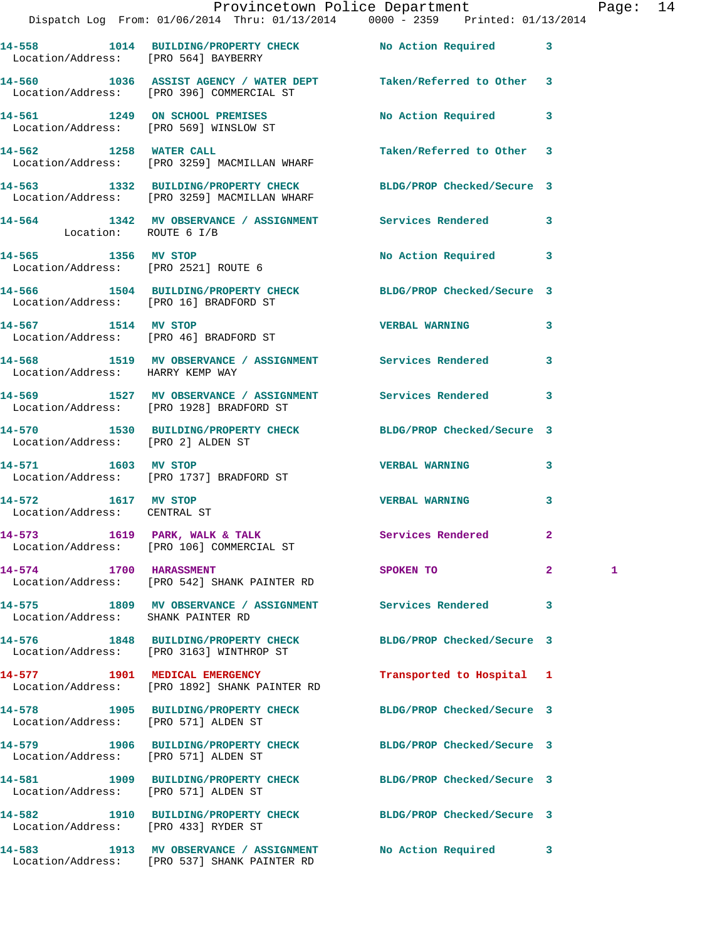|                                                     | Provincetown Police Department Page: 14<br>Dispatch Log From: 01/06/2014 Thru: 01/13/2014   0000 - 2359   Printed: 01/13/2014 |                           |              |   |  |
|-----------------------------------------------------|-------------------------------------------------------------------------------------------------------------------------------|---------------------------|--------------|---|--|
|                                                     | 14-558 1014 BUILDING/PROPERTY CHECK No Action Required 3<br>Location/Address: [PRO 564] BAYBERRY                              |                           |              |   |  |
|                                                     | 14-560 1036 ASSIST AGENCY / WATER DEPT Taken/Referred to Other 3<br>Location/Address: [PRO 396] COMMERCIAL ST                 |                           |              |   |  |
|                                                     | 14-561 1249 ON SCHOOL PREMISES<br>Location/Address: [PRO 569] WINSLOW ST                                                      | No Action Required 3      |              |   |  |
|                                                     | 14-562 1258 WATER CALL<br>Location/Address: [PRO 3259] MACMILLAN WHARF                                                        | Taken/Referred to Other 3 |              |   |  |
|                                                     | 14-563 1332 BUILDING/PROPERTY CHECK BLDG/PROP Checked/Secure 3<br>Location/Address: [PRO 3259] MACMILLAN WHARF                |                           |              |   |  |
|                                                     | 14-564 1342 MV OBSERVANCE / ASSIGNMENT Services Rendered 3<br>Location: ROUTE 6 I/B                                           |                           |              |   |  |
|                                                     |                                                                                                                               | No Action Required 3      |              |   |  |
| Location/Address: [PRO 16] BRADFORD ST              | 14-566 1504 BUILDING/PROPERTY CHECK BLDG/PROP Checked/Secure 3                                                                |                           |              |   |  |
|                                                     | 14-567 1514 MV STOP<br>Location/Address: [PRO 46] BRADFORD ST                                                                 | VERBAL WARNING 3          |              |   |  |
| Location/Address: HARRY KEMP WAY                    | 14-568 1519 MV OBSERVANCE / ASSIGNMENT Services Rendered 3                                                                    |                           |              |   |  |
|                                                     | 14-569 1527 MV OBSERVANCE / ASSIGNMENT Services Rendered 3<br>Location/Address: [PRO 1928] BRADFORD ST                        |                           |              |   |  |
| Location/Address: [PRO 2] ALDEN ST                  | 14-570 1530 BUILDING/PROPERTY CHECK BLDG/PROP Checked/Secure 3                                                                |                           |              |   |  |
|                                                     | 14-571 1603 MV STOP<br>Location/Address: [PRO 1737] BRADFORD ST                                                               | <b>VERBAL WARNING</b> 3   |              |   |  |
| 14-572 1617 MV STOP<br>Location/Address: CENTRAL ST |                                                                                                                               | <b>VERBAL WARNING</b>     | 3            |   |  |
|                                                     | $14-573$ 1619 PARK, WALK & TALK<br>Location/Address: [PRO 106] COMMERCIAL ST                                                  | Services Rendered         | $\mathbf{2}$ |   |  |
| 14-574 1700 HARASSMENT                              | Location/Address: [PRO 542] SHANK PAINTER RD                                                                                  | SPOKEN TO                 | $\mathbf{2}$ | 1 |  |
| Location/Address: SHANK PAINTER RD                  | 14-575 1809 MV OBSERVANCE / ASSIGNMENT Services Rendered                                                                      |                           | 3            |   |  |
|                                                     | 14-576 1848 BUILDING/PROPERTY CHECK BLDG/PROP Checked/Secure 3<br>Location/Address: [PRO 3163] WINTHROP ST                    |                           |              |   |  |
|                                                     | 14-577 1901 MEDICAL EMERGENCY<br>Location/Address: [PRO 1892] SHANK PAINTER RD                                                | Transported to Hospital 1 |              |   |  |
| Location/Address: [PRO 571] ALDEN ST                | 14-578 1905 BUILDING/PROPERTY CHECK BLDG/PROP Checked/Secure 3                                                                |                           |              |   |  |
| Location/Address: [PRO 571] ALDEN ST                | 14-579 1906 BUILDING/PROPERTY CHECK BLDG/PROP Checked/Secure 3                                                                |                           |              |   |  |
| Location/Address: [PRO 571] ALDEN ST                | 14-581 1909 BUILDING/PROPERTY CHECK BLDG/PROP Checked/Secure 3                                                                |                           |              |   |  |
| Location/Address: [PRO 433] RYDER ST                | 14-582 1910 BUILDING/PROPERTY CHECK BLDG/PROP Checked/Secure 3                                                                |                           |              |   |  |
| 14-583                                              | 1913 MV OBSERVANCE / ASSIGNMENT No Action Required 3                                                                          |                           |              |   |  |

Location/Address: [PRO 537] SHANK PAINTER RD